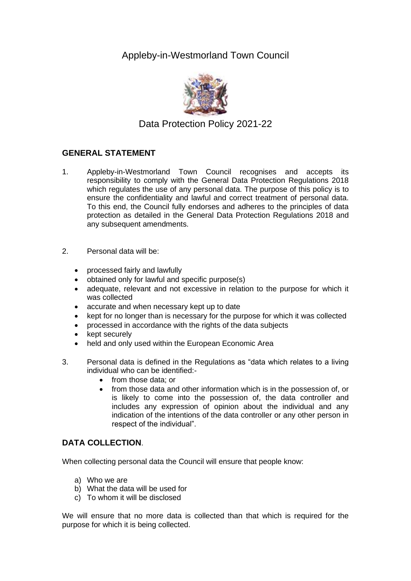Appleby-in-Westmorland Town Council



Data Protection Policy 2021-22

# **GENERAL STATEMENT**

- 1. Appleby-in-Westmorland Town Council recognises and accepts its responsibility to comply with the General Data Protection Regulations 2018 which regulates the use of any personal data. The purpose of this policy is to ensure the confidentiality and lawful and correct treatment of personal data. To this end, the Council fully endorses and adheres to the principles of data protection as detailed in the General Data Protection Regulations 2018 and any subsequent amendments.
- 2. Personal data will be:
	- processed fairly and lawfully
	- obtained only for lawful and specific purpose(s)
	- adequate, relevant and not excessive in relation to the purpose for which it was collected
	- accurate and when necessary kept up to date
	- kept for no longer than is necessary for the purpose for which it was collected
	- processed in accordance with the rights of the data subjects
	- kept securely
	- held and only used within the European Economic Area
- 3. Personal data is defined in the Regulations as "data which relates to a living individual who can be identified:-
	- from those data; or
	- from those data and other information which is in the possession of, or is likely to come into the possession of, the data controller and includes any expression of opinion about the individual and any indication of the intentions of the data controller or any other person in respect of the individual".

## **DATA COLLECTION**.

When collecting personal data the Council will ensure that people know:

- a) Who we are
- b) What the data will be used for
- c) To whom it will be disclosed

We will ensure that no more data is collected than that which is required for the purpose for which it is being collected.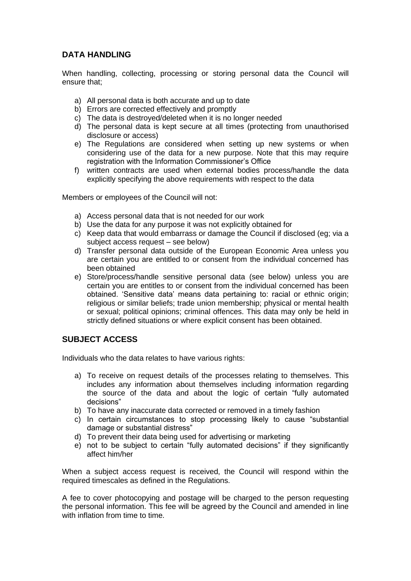## **DATA HANDLING**

When handling, collecting, processing or storing personal data the Council will ensure that;

- a) All personal data is both accurate and up to date
- b) Errors are corrected effectively and promptly
- c) The data is destroyed/deleted when it is no longer needed
- d) The personal data is kept secure at all times (protecting from unauthorised disclosure or access)
- e) The Regulations are considered when setting up new systems or when considering use of the data for a new purpose. Note that this may require registration with the Information Commissioner's Office
- f) written contracts are used when external bodies process/handle the data explicitly specifying the above requirements with respect to the data

Members or employees of the Council will not:

- a) Access personal data that is not needed for our work
- b) Use the data for any purpose it was not explicitly obtained for
- c) Keep data that would embarrass or damage the Council if disclosed (eg; via a subject access request – see below)
- d) Transfer personal data outside of the European Economic Area unless you are certain you are entitled to or consent from the individual concerned has been obtained
- e) Store/process/handle sensitive personal data (see below) unless you are certain you are entitles to or consent from the individual concerned has been obtained. 'Sensitive data' means data pertaining to: racial or ethnic origin; religious or similar beliefs; trade union membership; physical or mental health or sexual; political opinions; criminal offences. This data may only be held in strictly defined situations or where explicit consent has been obtained.

## **SUBJECT ACCESS**

Individuals who the data relates to have various rights:

- a) To receive on request details of the processes relating to themselves. This includes any information about themselves including information regarding the source of the data and about the logic of certain "fully automated decisions"
- b) To have any inaccurate data corrected or removed in a timely fashion
- c) In certain circumstances to stop processing likely to cause "substantial damage or substantial distress"
- d) To prevent their data being used for advertising or marketing
- e) not to be subject to certain "fully automated decisions" if they significantly affect him/her

When a subject access request is received, the Council will respond within the required timescales as defined in the Regulations.

A fee to cover photocopying and postage will be charged to the person requesting the personal information. This fee will be agreed by the Council and amended in line with inflation from time to time.